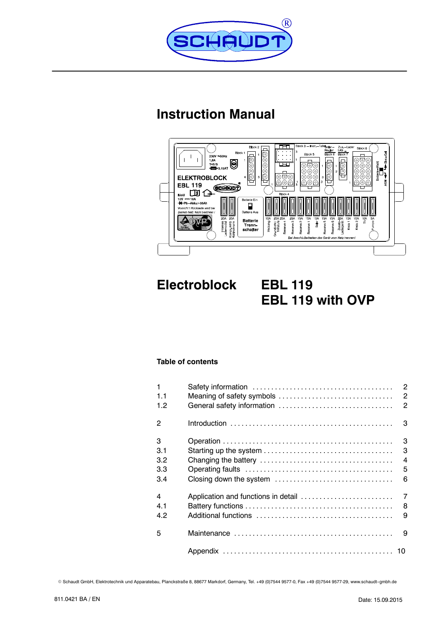

# **Instruction Manual**



**Electroblock EBL 119 EBL 119 with OVP**

### **Table of contents**

| $\mathbf{1}$<br>1.1 |                                     | $\overline{c}$<br>$\overline{c}$<br>$\overline{c}$ |
|---------------------|-------------------------------------|----------------------------------------------------|
| 1.2                 | General safety information          |                                                    |
| $\overline{2}$      |                                     | 3                                                  |
| 3                   |                                     | 3                                                  |
| 3.1                 |                                     | 3                                                  |
| 3.2                 |                                     | $\overline{4}$                                     |
| 3.3                 |                                     | 5                                                  |
| 3.4                 |                                     | 6                                                  |
| 4                   | Application and functions in detail | $\overline{7}$                                     |
| 4.1                 |                                     | 8                                                  |
| 4.2                 |                                     | 9                                                  |
| 5                   |                                     | 9                                                  |
|                     |                                     |                                                    |

E Schaudt GmbH, Elektrotechnik und Apparatebau, Planckstraße 8, 88677 Markdorf, Germany, Tel. +49 (0)7544 9577-0, Fax +49 (0)7544 9577-29, www.schaudt--gmbh.de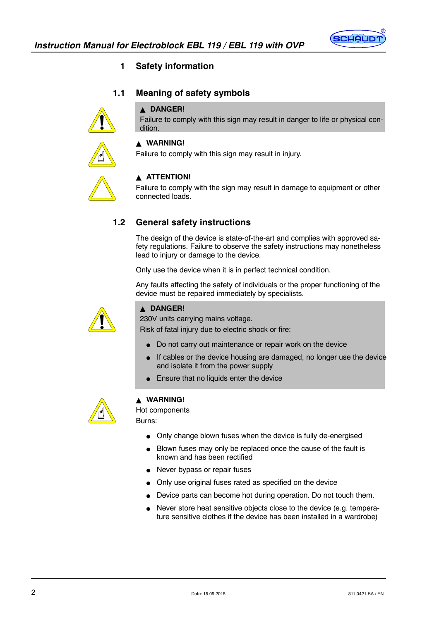

### **1 Safety information**

### **1.1 Meaning of safety symbols**

### **A DANGER!**

Failure to comply with this sign may result in danger to life or physical condition.



### Y **WARNING!**

Failure to comply with this sign may result in injury.



#### **ATTENTION!**

Failure to comply with the sign may result in damage to equipment or other connected loads.

### **1.2 General safety instructions**

The design of the device is state-of-the-art and complies with approved safety regulations. Failure to observe the safety instructions may nonetheless lead to injury or damage to the device.

Only use the device when it is in perfect technical condition.

Any faults affecting the safety of individuals or the proper functioning of the device must be repaired immediately by specialists.



### **A** DANGER!

230V units carrying mains voltage.

Risk of fatal injury due to electric shock or fire:

- Do not carry out maintenance or repair work on the device
- If cables or the device housing are damaged, no longer use the device and isolate it from the power supply
- Ensure that no liquids enter the device



### Y **WARNING!**

Hot components

Burns:

- $\bullet$  Only change blown fuses when the device is fully de-energised
- Blown fuses may only be replaced once the cause of the fault is known and has been rectified
- Never bypass or repair fuses
- Only use original fuses rated as specified on the device
- Device parts can become hot during operation. Do not touch them.
- Never store heat sensitive objects close to the device (e.g. temperature sensitive clothes if the device has been installed in a wardrobe)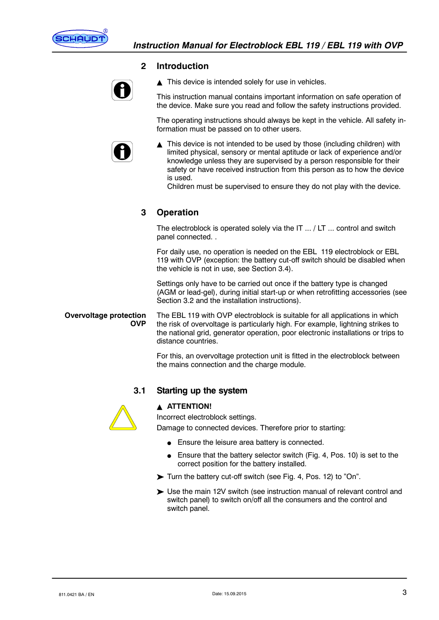

#### **2 Introduction**



 $\triangle$  This device is intended solely for use in vehicles.

This instruction manual contains important information on safe operation of the device. Make sure you read and follow the safety instructions provided.

The operating instructions should always be kept in the vehicle. All safety information must be passed on to other users.



This device is not intended to be used by those (including children) with limited physical, sensory or mental aptitude or lack of experience and/or knowledge unless they are supervised by a person responsible for their safety or have received instruction from this person as to how the device is used.

Children must be supervised to ensure they do not play with the device.

### **3 Operation**

The electroblock is operated solely via the IT ... / LT ... control and switch panel connected. .

For daily use, no operation is needed on the EBL 119 electroblock or EBL 119 with OVP (exception: the battery cut-off switch should be disabled when the vehicle is not in use, see Section 3.4).

Settings only have to be carried out once if the battery type is changed (AGM or lead-gel), during initial start-up or when retrofitting accessories (see Section 3.2 and the installation instructions).

The EBL 119 with OVP electroblock is suitable for all applications in which the risk of overvoltage is particularly high. For example, lightning strikes to the national grid, generator operation, poor electronic installations or trips to distance countries. **Overvoltage protection OVP**

> For this, an overvoltage protection unit is fitted in the electroblock between the mains connection and the charge module.

### **3.1 Starting up the system**



#### **A ATTENTION!**

Incorrect electroblock settings.

Damage to connected devices. Therefore prior to starting:

- $\bullet$  Ensure the leisure area battery is connected.
- Ensure that the battery selector switch (Fig. 4, Pos. 10) is set to the correct position for the battery installed.
- Turn the battery cut-off switch (see Fig. 4, Pos. 12) to "On".
- Use the main 12V switch (see instruction manual of relevant control and switch panel) to switch on/off all the consumers and the control and switch panel.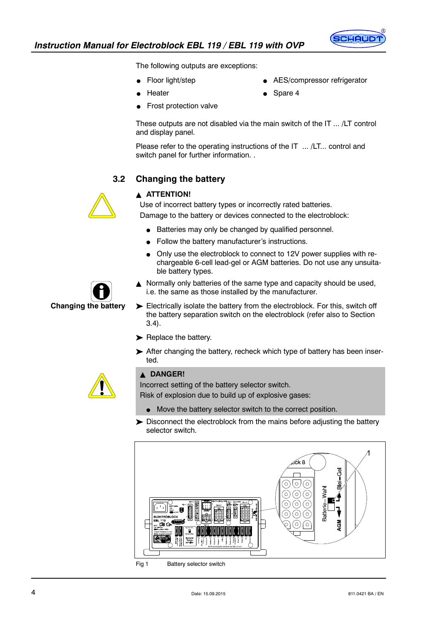

The following outputs are exceptions:

- Floor light/step
- Heater
- AES/compressor refrigerator
- 

Spare 4

Frost protection valve

These outputs are not disabled via the main switch of the IT ... /LT control and display panel.

Please refer to the operating instructions of the IT ... /LT... control and switch panel for further information. .

### **3.2 Changing the battery**

### **A ATTENTION!**

Use of incorrect battery types or incorrectly rated batteries. Damage to the battery or devices connected to the electroblock:

- Batteries may only be changed by qualified personnel.
- Follow the battery manufacturer's instructions.
- Only use the electroblock to connect to 12V power supplies with rechargeable 6-cell lead-gel or AGM batteries. Do not use any unsuitable battery types.
- **Changing the battery**

 $\triangle$  Normally only batteries of the same type and capacity should be used, i.e. the same as those installed by the manufacturer.

- Electrically isolate the battery from the electroblock. For this, switch off the battery separation switch on the electroblock (refer also to Section 3.4).
- Replace the battery.
- After changing the battery, recheck which type of battery has been inserted.



### **A DANGER!**

Incorrect setting of the battery selector switch.

Risk of explosion due to build up of explosive gases:

- $\bullet$  Move the battery selector switch to the correct position.
- Disconnect the electroblock from the mains before adjusting the battery selector switch.



Fig 1 Battery selector switch



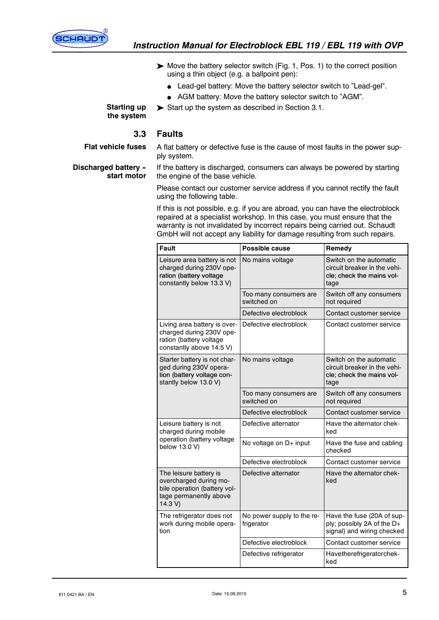

- Move the battery selector switch (Fig. 1, Pos. 1) to the correct position using a thin object (e.g. a ballpoint pen):
	- Lead-gel battery: Move the battery selector switch to "Lead-gel".
	- AGM battery: Move the battery selector switch to "AGM".
- $\triangleright$  Start up the system as described in Section 3.1.

#### **Starting up the system**

#### **3.3 Faults**

**Flat vehicle fuses**

A flat battery or defective fuse is the cause of most faults in the power supply system.

**Discharged battery - start motor**

If the battery is discharged, consumers can always be powered by starting the engine of the base vehicle.

Please contact our customer service address if you cannot rectify the fault using the following table.

If this is not possible, e.g. if you are abroad, you can have the electroblock repaired at a specialist workshop. In this case, you must ensure that the warranty is not invalidated by incorrect repairs being carried out. Schaudt GmbH will not accept any liability for damage resulting from such repairs.

| <b>Fault</b>                                                                                                         | Possible cause                           | Remedy                                                                                       |
|----------------------------------------------------------------------------------------------------------------------|------------------------------------------|----------------------------------------------------------------------------------------------|
| Leisure area battery is not<br>charged during 230V ope-<br>ration (battery voltage<br>constantly below 13.3 V)       | No mains voltage                         | Switch on the automatic<br>circuit breaker in the vehi-<br>cle; check the mains vol-<br>tage |
|                                                                                                                      | Too many consumers are<br>switched on    | Switch off any consumers<br>not required                                                     |
|                                                                                                                      | Defective electroblock                   | Contact customer service                                                                     |
| Living area battery is over-<br>charged during 230V ope-<br>ration (battery voltage<br>constantly above 14.5 V)      | Defective electroblock                   | Contact customer service                                                                     |
| Starter battery is not char-<br>ged during 230V opera-<br>tion (battery voltage con-<br>stantly below 13.0 V)        | No mains voltage                         | Switch on the automatic<br>circuit breaker in the vehi-<br>cle; check the mains vol-<br>tage |
|                                                                                                                      | Too many consumers are<br>switched on    | Switch off any consumers<br>not required                                                     |
|                                                                                                                      | Defective electroblock                   | Contact customer service                                                                     |
| Leisure battery is not<br>charged during mobile                                                                      | Defective alternator                     | Have the alternator chek-<br>ked                                                             |
| operation (battery voltage<br>below 13.0 V)                                                                          | No voltage on D+ input                   | Have the fuse and cabling<br>checked                                                         |
|                                                                                                                      | Defective electroblock                   | Contact customer service                                                                     |
| The leisure battery is<br>overcharged during mo-<br>bile operation (battery vol-<br>tage permanently above<br>14.3 V | Defective alternator                     | Have the alternator chek-<br>ked                                                             |
| The refrigerator does not<br>work during mobile opera-<br>tion                                                       | No power supply to the re-<br>frigerator | Have the fuse (20A of sup-<br>ply; possibly 2A of the D+<br>signal) and wiring checked       |
|                                                                                                                      | Defective electroblock                   | Contact customer service                                                                     |
|                                                                                                                      | Defective refrigerator                   | Havetherefrigeratorchek-<br>ked                                                              |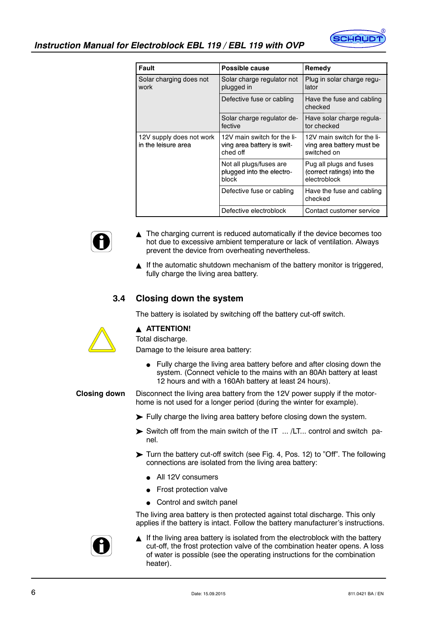

| Fault                                           | Possible cause                                                        | Remedy                                                                  |
|-------------------------------------------------|-----------------------------------------------------------------------|-------------------------------------------------------------------------|
| Solar charging does not<br>work                 | Solar charge regulator not<br>plugged in                              | Plug in solar charge regu-<br>lator                                     |
|                                                 | Defective fuse or cabling                                             | Have the fuse and cabling<br>checked                                    |
|                                                 | Solar charge regulator de-<br>fective                                 | Have solar charge regula-<br>tor checked                                |
| 12V supply does not work<br>in the leisure area | 12V main switch for the li-<br>ving area battery is swit-<br>ched off | 12V main switch for the li-<br>ving area battery must be<br>switched on |
|                                                 | Not all plugs/fuses are<br>plugged into the electro-<br>block         | Pug all plugs and fuses<br>(correct ratings) into the<br>electroblock   |
|                                                 | Defective fuse or cabling                                             | Have the fuse and cabling<br>checked                                    |
|                                                 | Defective electroblock                                                | Contact customer service                                                |



If the automatic shutdown mechanism of the battery monitor is triggered, fully charge the living area battery.

### **3.4 Closing down the system**

The battery is isolated by switching off the battery cut-off switch.

#### **A ATTENTION!**

Total discharge.

Damage to the leisure area battery:

 $\bullet$  Fully charge the living area battery before and after closing down the system. (Connect vehicle to the mains with an 80Ah battery at least 12 hours and with a 160Ah battery at least 24 hours).

Disconnect the living area battery from the 12V power supply if the motorhome is not used for a longer period (during the winter for example). **Closing down**

Fully charge the living area battery before closing down the system.

- $\triangleright$  Switch off from the main switch of the IT  $\ldots$  /LT $\ldots$  control and switch panel.
- Turn the battery cut-off switch (see Fig. 4, Pos. 12) to "Off". The following connections are isolated from the living area battery:
	- All 12V consumers
	- Frost protection valve
	- $\bullet$  Control and switch panel

The living area battery is then protected against total discharge. This only applies if the battery is intact. Follow the battery manufacturer's instructions.



 $\blacktriangle$  If the living area battery is isolated from the electroblock with the battery cut-off, the frost protection valve of the combination heater opens. A loss of water is possible (see the operating instructions for the combination heater).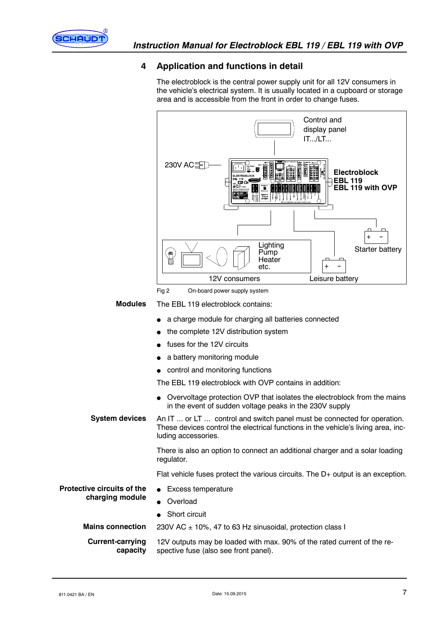

### **4 Application and functions in detail**

The electroblock is the central power supply unit for all 12V consumers in the vehicle's electrical system. It is usually located in a cupboard or storage area and is accessible from the front in order to change fuses.

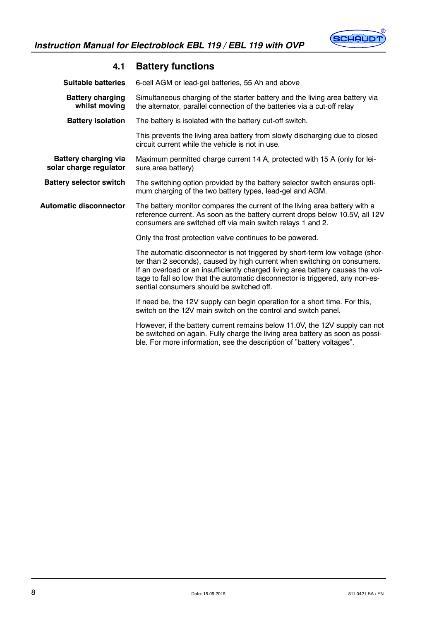

| <b>Suitable batteries</b>                             | 6-cell AGM or lead-gel batteries, 55 Ah and above                                                                                                                                                                                                                                                                                                                         |
|-------------------------------------------------------|---------------------------------------------------------------------------------------------------------------------------------------------------------------------------------------------------------------------------------------------------------------------------------------------------------------------------------------------------------------------------|
| <b>Battery charging</b><br>whilst moving              | Simultaneous charging of the starter battery and the living area battery via<br>the alternator, parallel connection of the batteries via a cut-off relay                                                                                                                                                                                                                  |
| <b>Battery isolation</b>                              | The battery is isolated with the battery cut-off switch.                                                                                                                                                                                                                                                                                                                  |
|                                                       | This prevents the living area battery from slowly discharging due to closed<br>circuit current while the vehicle is not in use.                                                                                                                                                                                                                                           |
| <b>Battery charging via</b><br>solar charge regulator | Maximum permitted charge current 14 A, protected with 15 A (only for lei-<br>sure area battery)                                                                                                                                                                                                                                                                           |
| <b>Battery selector switch</b>                        | The switching option provided by the battery selector switch ensures opti-<br>mum charging of the two battery types, lead-gel and AGM.                                                                                                                                                                                                                                    |
| <b>Automatic disconnector</b>                         | The battery monitor compares the current of the living area battery with a<br>reference current. As soon as the battery current drops below 10.5V, all 12V<br>consumers are switched off via main switch relays 1 and 2.                                                                                                                                                  |
|                                                       | Only the frost protection valve continues to be powered.                                                                                                                                                                                                                                                                                                                  |
|                                                       | The automatic disconnector is not triggered by short-term low voltage (shor-<br>ter than 2 seconds), caused by high current when switching on consumers.<br>If an overload or an insufficiently charged living area battery causes the vol-<br>tage to fall so low that the automatic disconnector is triggered, any non-es-<br>sential consumers should be switched off. |
|                                                       | If need be, the 12V supply can begin operation for a short time. For this,<br>switch on the 12V main switch on the control and switch panel.                                                                                                                                                                                                                              |
|                                                       | However, if the battery current remains below 11.0V, the 12V supply can not<br>be switched on again. Fully charge the living area battery as soon as possi-<br>ble. For more information, see the description of "battery voltages".                                                                                                                                      |

## **4.1 Battery functions**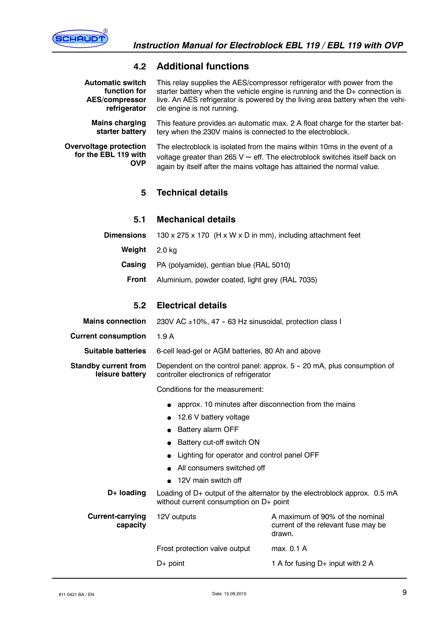

### **4.2 Additional functions**

| <b>Automatic switch</b><br>function for<br><b>AES/compressor</b><br>refrigerator | This relay supplies the AES/compressor refrigerator with power from the<br>starter battery when the vehicle engine is running and the D+ connection is<br>live. An AES refrigerator is powered by the living area battery when the vehi-<br>cle engine is not running. |                                                                                  |  |
|----------------------------------------------------------------------------------|------------------------------------------------------------------------------------------------------------------------------------------------------------------------------------------------------------------------------------------------------------------------|----------------------------------------------------------------------------------|--|
| <b>Mains charging</b><br>starter battery                                         | This feature provides an automatic max. 2 A float charge for the starter bat-<br>tery when the 230V mains is connected to the electroblock.                                                                                                                            |                                                                                  |  |
| Overvoltage protection<br>for the EBL 119 with<br><b>OVP</b>                     | The electroblock is isolated from the mains within 10ms in the event of a<br>voltage greater than 265 V $\sim$ eff. The electroblock switches itself back on<br>again by itself after the mains voltage has attained the normal value.                                 |                                                                                  |  |
| 5                                                                                | <b>Technical details</b>                                                                                                                                                                                                                                               |                                                                                  |  |
| 5.1                                                                              | <b>Mechanical details</b>                                                                                                                                                                                                                                              |                                                                                  |  |
| <b>Dimensions</b>                                                                | 130 x 275 x 170 (H x W x D in mm), including attachment feet                                                                                                                                                                                                           |                                                                                  |  |
| Weight                                                                           | $2.0$ kg                                                                                                                                                                                                                                                               |                                                                                  |  |
| Casing                                                                           | PA (polyamide), gentian blue (RAL 5010)                                                                                                                                                                                                                                |                                                                                  |  |
| <b>Front</b>                                                                     | Aluminium, powder coated, light grey (RAL 7035)                                                                                                                                                                                                                        |                                                                                  |  |
| 5.2                                                                              | <b>Electrical details</b>                                                                                                                                                                                                                                              |                                                                                  |  |
| <b>Mains connection</b>                                                          | 230V AC ±10%, 47 - 63 Hz sinusoidal, protection class I                                                                                                                                                                                                                |                                                                                  |  |
| <b>Current consumption</b>                                                       | 1.9A                                                                                                                                                                                                                                                                   |                                                                                  |  |
|                                                                                  | 6-cell lead-gel or AGM batteries, 80 Ah and above                                                                                                                                                                                                                      |                                                                                  |  |
| <b>Suitable batteries</b>                                                        |                                                                                                                                                                                                                                                                        |                                                                                  |  |
| <b>Standby current from</b><br>leisure battery                                   | controller electronics of refrigerator                                                                                                                                                                                                                                 | Dependent on the control panel: approx. 5 - 20 mA, plus consumption of           |  |
|                                                                                  | Conditions for the measurement:                                                                                                                                                                                                                                        |                                                                                  |  |
|                                                                                  |                                                                                                                                                                                                                                                                        | approx. 10 minutes after disconnection from the mains                            |  |
|                                                                                  | 12.6 V battery voltage                                                                                                                                                                                                                                                 |                                                                                  |  |
|                                                                                  | Battery alarm OFF                                                                                                                                                                                                                                                      |                                                                                  |  |
|                                                                                  | Battery cut-off switch ON                                                                                                                                                                                                                                              |                                                                                  |  |
|                                                                                  | Lighting for operator and control panel OFF                                                                                                                                                                                                                            |                                                                                  |  |
|                                                                                  | All consumers switched off                                                                                                                                                                                                                                             |                                                                                  |  |
|                                                                                  | 12V main switch off                                                                                                                                                                                                                                                    |                                                                                  |  |
| D+ loading                                                                       | without current consumption on D+ point                                                                                                                                                                                                                                | Loading of D+ output of the alternator by the electroblock approx. 0.5 mA        |  |
| <b>Current-carrying</b><br>capacity                                              | 12V outputs                                                                                                                                                                                                                                                            | A maximum of 90% of the nominal<br>current of the relevant fuse may be<br>drawn. |  |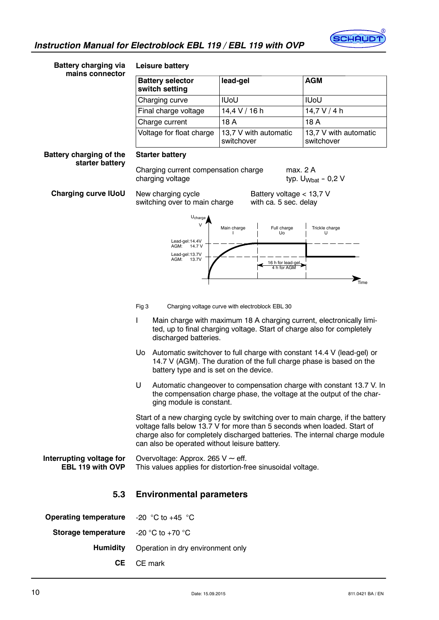

| <b>Battery charging via</b>                       | Leisure battery                                                                                                           |                                                                                                                                                |                                                                                                                                                               |
|---------------------------------------------------|---------------------------------------------------------------------------------------------------------------------------|------------------------------------------------------------------------------------------------------------------------------------------------|---------------------------------------------------------------------------------------------------------------------------------------------------------------|
| mains connector                                   | <b>Battery selector</b><br>switch setting                                                                                 | lead-gel                                                                                                                                       | <b>AGM</b>                                                                                                                                                    |
|                                                   | Charging curve                                                                                                            | <b>IUoU</b>                                                                                                                                    | <b>IUoU</b>                                                                                                                                                   |
|                                                   | Final charge voltage                                                                                                      | $14,4$ V / 16 h                                                                                                                                | $14,7$ V / 4 h                                                                                                                                                |
|                                                   | Charge current                                                                                                            | 18 A                                                                                                                                           | 18 A                                                                                                                                                          |
|                                                   | Voltage for float charge                                                                                                  | 13,7 V with automatic<br>switchover                                                                                                            | 13,7 V with automatic<br>switchover                                                                                                                           |
| <b>Battery charging of the</b><br>starter battery | <b>Starter battery</b>                                                                                                    |                                                                                                                                                |                                                                                                                                                               |
|                                                   | Charging current compensation charge<br>charging voltage                                                                  |                                                                                                                                                | max. 2 A<br>typ. $U_{Wbat}$ - 0,2 V                                                                                                                           |
| <b>Charging curve IUoU</b>                        | Battery voltage < 13,7 V<br>New charging cycle<br>switching over to main charge<br>with ca. 5 sec. delay                  |                                                                                                                                                |                                                                                                                                                               |
|                                                   | $U_{charge}$                                                                                                              |                                                                                                                                                |                                                                                                                                                               |
|                                                   | V                                                                                                                         | Full charge<br>Main charge<br>Uo                                                                                                               | Trickle charge<br>U                                                                                                                                           |
|                                                   | Lead-gel:14.4V<br>AGM:<br>14.7 V                                                                                          |                                                                                                                                                |                                                                                                                                                               |
|                                                   | Lead-gel:13.7V<br>AGM:<br>13.7V                                                                                           | 16 h for lead-gel                                                                                                                              |                                                                                                                                                               |
|                                                   |                                                                                                                           |                                                                                                                                                | $\sum_{\text{Time}}$                                                                                                                                          |
|                                                   |                                                                                                                           |                                                                                                                                                |                                                                                                                                                               |
|                                                   | Fig 3                                                                                                                     | Charging voltage curve with electroblock EBL 30                                                                                                |                                                                                                                                                               |
|                                                   | L<br>discharged batteries.                                                                                                | Main charge with maximum 18 A charging current, electronically limi-<br>ted, up to final charging voltage. Start of charge also for completely |                                                                                                                                                               |
|                                                   | Uo<br>battery type and is set on the device.                                                                              | Automatic switchover to full charge with constant 14.4 V (lead-gel) or<br>14.7 V (AGM). The duration of the full charge phase is based on the  |                                                                                                                                                               |
|                                                   | U<br>ging module is constant.                                                                                             | the compensation charge phase, the voltage at the output of the char-                                                                          | Automatic changeover to compensation charge with constant 13.7 V. In                                                                                          |
|                                                   | voltage falls below 13.7 V for more than 5 seconds when loaded. Start of<br>can also be operated without leisure battery. |                                                                                                                                                | Start of a new charging cycle by switching over to main charge, if the battery<br>charge also for completely discharged batteries. The internal charge module |
| Interrupting voltage for<br>EBL 119 with OVP      | Overvoltage: Approx. 265 $V \sim$ eff.<br>This values applies for distortion-free sinusoidal voltage.                     |                                                                                                                                                |                                                                                                                                                               |
| 5.3                                               | <b>Environmental parameters</b>                                                                                           |                                                                                                                                                |                                                                                                                                                               |
| <b>Operating temperature</b>                      | -20 $^{\circ}$ C to +45 $^{\circ}$ C                                                                                      |                                                                                                                                                |                                                                                                                                                               |
| Storage temperature                               | -20 °C to +70 °C                                                                                                          |                                                                                                                                                |                                                                                                                                                               |
| <b>Humidity</b>                                   | Operation in dry environment only                                                                                         |                                                                                                                                                |                                                                                                                                                               |
| CE                                                | CE mark                                                                                                                   |                                                                                                                                                |                                                                                                                                                               |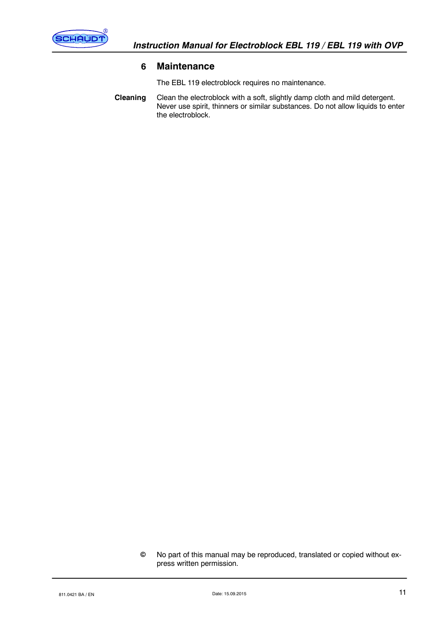

### **6 Maintenance**

The EBL 119 electroblock requires no maintenance.

Clean the electroblock with a soft, slightly damp cloth and mild detergent. Never use spirit, thinners or similar substances. Do not allow liquids to enter the electroblock. **Cleaning**

No part of this manual may be reproduced, translated or copied without express written permission.  $\odot$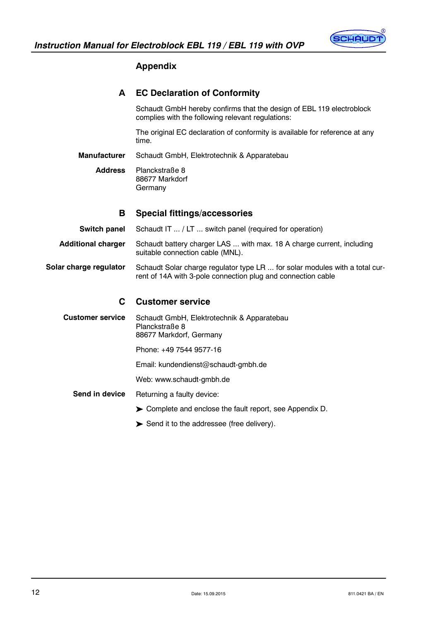

### **Appendix**

### **A EC Declaration of Conformity**

Schaudt GmbH hereby confirms that the design of EBL 119 electroblock complies with the following relevant regulations:

The original EC declaration of conformity is available for reference at any time.

Schaudt GmbH, Elektrotechnik & Apparatebau **Manufacturer**

Planckstraße 8 88677 Markdorf Germany **Address**

#### **B Special fittings/accessories**

Schaudt IT ... / LT ... switch panel (required for operation) **Switch panel**

Schaudt battery charger LAS ... with max. 18 A charge current, including suitable connection cable (MNL). **Additional charger**

Schaudt Solar charge regulator type LR ... for solar modules with a total current of 14A with 3-pole connection plug and connection cable **Solar charge regulator**

#### **C Customer service**

Schaudt GmbH, Elektrotechnik & Apparatebau Planckstraße 8 88677 Markdorf, Germany **Customer service**

Phone: +49 7544 9577-16

Email: kundendienst@schaudt-gmbh.de

Web: www.schaudt-gmbh.de

- Returning a faulty device: **Send in device**
	- Complete and enclose the fault report, see Appendix D.
	- Send it to the addressee (free delivery).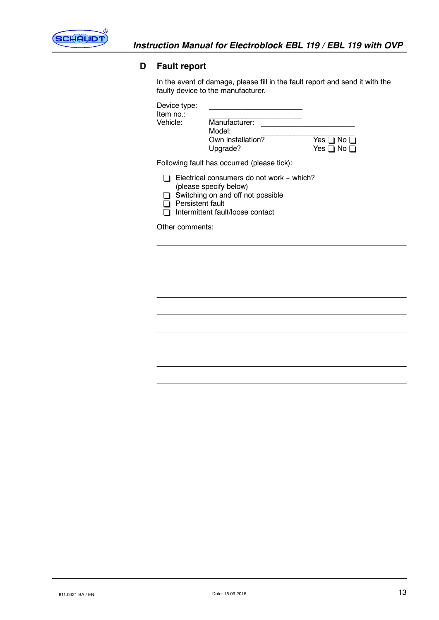

### **D Fault report**

In the event of damage, please fill in the fault report and send it with the faulty device to the manufacturer.

| Device type:         |                   |                      |
|----------------------|-------------------|----------------------|
| Item no∴<br>Vehicle: | Manufacturer:     |                      |
|                      | Model:            |                      |
|                      | Own installation? | Yes $\Box$ No $\Box$ |
|                      | Upgrade?          |                      |

Following fault has occurred (please tick):

 $\Box$  Electrical consumers do not work - which?

- (please specify below)
- $\Box$  Switching on and off not possible
- $\Box$  Persistent fault
- Intermittent fault/loose contact

Other comments: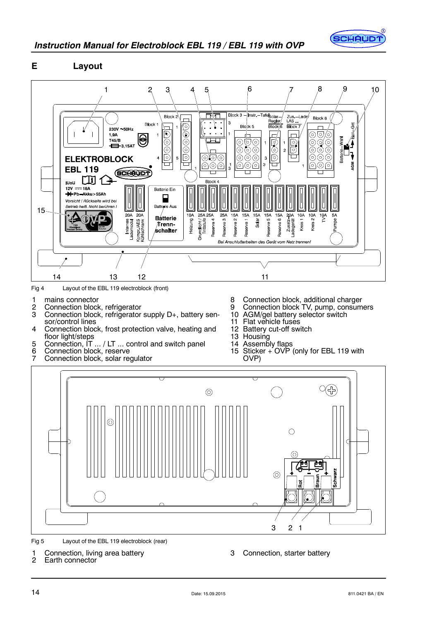

### **E Layout**



Fig 4 Layout of the EBL 119 electroblock (front)

- 1 mains connector
- 2 Connection block, refrigerator<br>3 Connection block, refrigerator
- Connection block, refrigerator supply D+, battery sensor/control lines
- 4 Connection block, frost protection valve, heating and floor light/steps
- 5 Connection, IT ... / LT ... control and switch panel<br>6 Connection block, reserve
- 6 Connection block, reserve<br>7 Connection block, solar ree
- **Connection block, solar regulator**
- 8 Connection block, additional charger
- 9 Connection block TV, pump, consumers
- 10 AGM/gel battery selector switch
- 11 Flat vehicle fuses
- 12 Battery cut-off switch
- 13 Housing
- 14 Assembly flaps
- 15 Sticker + OVP (only for EBL 119 with OVP)



Fig 5 Layout of the EBL 119 electroblock (rear)

1 Connection, living area battery<br>2 Earth connector Earth connector

3 Connection, starter battery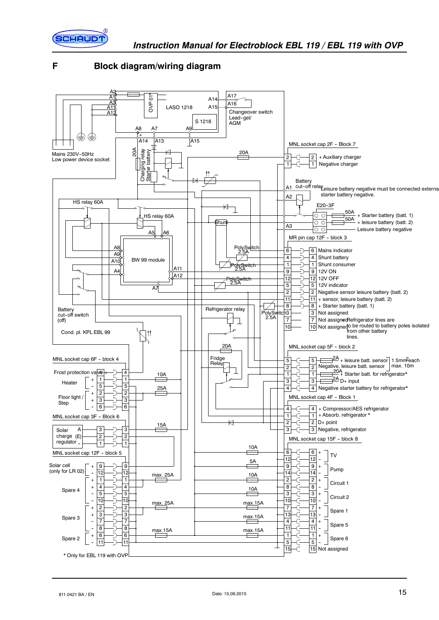

### **F Block diagram/wiring diagram**